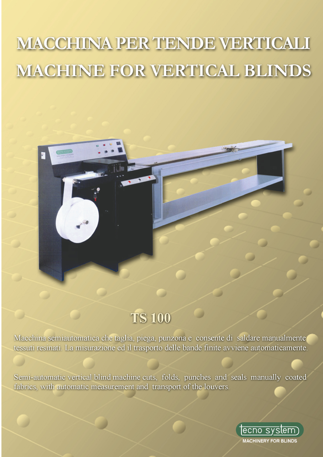# **MACCHINA PER TENDE VERTICALI MACHINE FOR VERTICAL BLINDS**



## **TS 100**

Macchina semiautomatica che taglia, piega, punzona e consente di saldare manualmente tessuti resinati. La misurazione ed il trasporto delle bande finite avviene automaticamente.

Semi-automatic vertical blind machine cuts, folds, punches and seals manually coated fabrics, with automatic measurement and transport of the louvers.